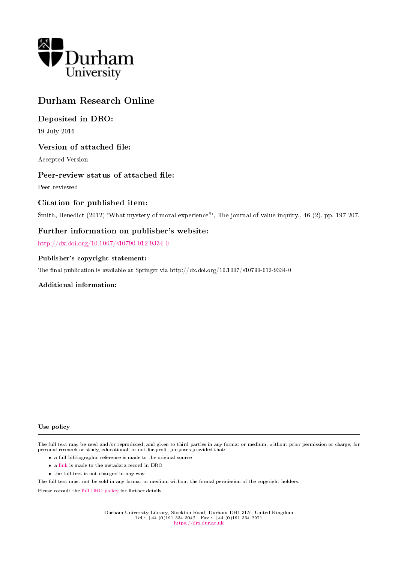

# Durham Research Online

## Deposited in DRO:

19 July 2016

## Version of attached file:

Accepted Version

## Peer-review status of attached file:

Peer-reviewed

### Citation for published item:

Smith, Benedict (2012) 'What mystery of moral experience?', The journal of value inquiry., 46 (2). pp. 197-207.

## Further information on publisher's website:

<http://dx.doi.org/10.1007/s10790-012-9334-0>

### Publisher's copyright statement:

The final publication is available at Springer via http://dx.doi.org/10.1007/s10790-012-9334-0

### Additional information:

#### Use policy

The full-text may be used and/or reproduced, and given to third parties in any format or medium, without prior permission or charge, for personal research or study, educational, or not-for-profit purposes provided that:

- a full bibliographic reference is made to the original source
- a [link](http://dro.dur.ac.uk/19263/) is made to the metadata record in DRO
- the full-text is not changed in any way

The full-text must not be sold in any format or medium without the formal permission of the copyright holders.

Please consult the [full DRO policy](https://dro.dur.ac.uk/policies/usepolicy.pdf) for further details.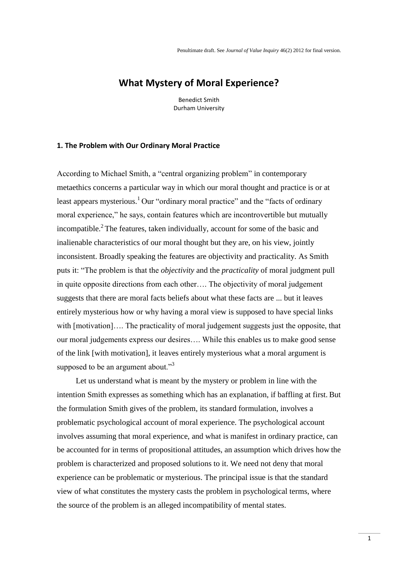## **What Mystery of Moral Experience?**

Benedict Smith Durham University

### **1. The Problem with Our Ordinary Moral Practice**

According to Michael Smith, a "central organizing problem" in contemporary metaethics concerns a particular way in which our moral thought and practice is or at least appears mysterious.<sup>1</sup> Our "ordinary moral practice" and the "facts of ordinary moral experience," he says, contain features which are incontrovertible but mutually incompatible.<sup>2</sup> The features, taken individually, account for some of the basic and inalienable characteristics of our moral thought but they are, on his view, jointly inconsistent. Broadly speaking the features are objectivity and practicality. As Smith puts it: "The problem is that the *objectivity* and the *practicality* of moral judgment pull in quite opposite directions from each other…. The objectivity of moral judgement suggests that there are moral facts beliefs about what these facts are ... but it leaves entirely mysterious how or why having a moral view is supposed to have special links with [motivation]…. The practicality of moral judgement suggests just the opposite, that our moral judgements express our desires…. While this enables us to make good sense of the link [with motivation], it leaves entirely mysterious what a moral argument is supposed to be an argument about."<sup>3</sup>

Let us understand what is meant by the mystery or problem in line with the intention Smith expresses as something which has an explanation, if baffling at first. But the formulation Smith gives of the problem, its standard formulation, involves a problematic psychological account of moral experience. The psychological account involves assuming that moral experience, and what is manifest in ordinary practice, can be accounted for in terms of propositional attitudes, an assumption which drives how the problem is characterized and proposed solutions to it. We need not deny that moral experience can be problematic or mysterious. The principal issue is that the standard view of what constitutes the mystery casts the problem in psychological terms, where the source of the problem is an alleged incompatibility of mental states.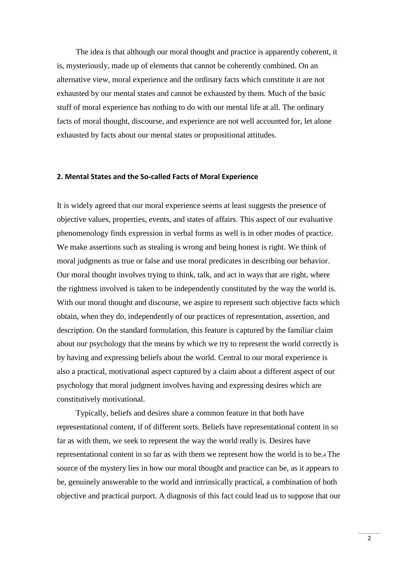The idea is that although our moral thought and practice is apparently coherent, it is, mysteriously, made up of elements that cannot be coherently combined. On an alternative view, moral experience and the ordinary facts which constitute it are not exhausted by our mental states and cannot be exhausted by them. Much of the basic stuff of moral experience has nothing to do with our mental life at all. The ordinary facts of moral thought, discourse, and experience are not well accounted for, let alone exhausted by facts about our mental states or propositional attitudes.

### **2. Mental States and the So-called Facts of Moral Experience**

It is widely agreed that our moral experience seems at least suggests the presence of objective values, properties, events, and states of affairs. This aspect of our evaluative phenomenology finds expression in verbal forms as well is in other modes of practice. We make assertions such as stealing is wrong and being honest is right. We think of moral judgments as true or false and use moral predicates in describing our behavior. Our moral thought involves trying to think, talk, and act in ways that are right, where the rightness involved is taken to be independently constituted by the way the world is. With our moral thought and discourse, we aspire to represent such objective facts which obtain, when they do, independently of our practices of representation, assertion, and description. On the standard formulation, this feature is captured by the familiar claim about our psychology that the means by which we try to represent the world correctly is by having and expressing beliefs about the world. Central to our moral experience is also a practical, motivational aspect captured by a claim about a different aspect of our psychology that moral judgment involves having and expressing desires which are constitutively motivational.

Typically, beliefs and desires share a common feature in that both have representational content, if of different sorts. Beliefs have representational content in so far as with them, we seek to represent the way the world really is. Desires have representational content in so far as with them we represent how the world is to be.4 The source of the mystery lies in how our moral thought and practice can be, as it appears to be, genuinely answerable to the world and intrinsically practical, a combination of both objective and practical purport. A diagnosis of this fact could lead us to suppose that our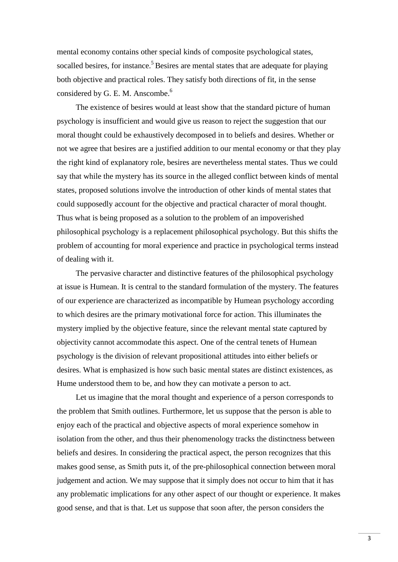mental economy contains other special kinds of composite psychological states, socalled besires, for instance.<sup>5</sup> Besires are mental states that are adequate for playing both objective and practical roles. They satisfy both directions of fit, in the sense considered by G. E. M. Anscombe.<sup>6</sup>

The existence of besires would at least show that the standard picture of human psychology is insufficient and would give us reason to reject the suggestion that our moral thought could be exhaustively decomposed in to beliefs and desires. Whether or not we agree that besires are a justified addition to our mental economy or that they play the right kind of explanatory role, besires are nevertheless mental states. Thus we could say that while the mystery has its source in the alleged conflict between kinds of mental states, proposed solutions involve the introduction of other kinds of mental states that could supposedly account for the objective and practical character of moral thought. Thus what is being proposed as a solution to the problem of an impoverished philosophical psychology is a replacement philosophical psychology. But this shifts the problem of accounting for moral experience and practice in psychological terms instead of dealing with it.

The pervasive character and distinctive features of the philosophical psychology at issue is Humean. It is central to the standard formulation of the mystery. The features of our experience are characterized as incompatible by Humean psychology according to which desires are the primary motivational force for action. This illuminates the mystery implied by the objective feature, since the relevant mental state captured by objectivity cannot accommodate this aspect. One of the central tenets of Humean psychology is the division of relevant propositional attitudes into either beliefs or desires. What is emphasized is how such basic mental states are distinct existences, as Hume understood them to be, and how they can motivate a person to act.

Let us imagine that the moral thought and experience of a person corresponds to the problem that Smith outlines. Furthermore, let us suppose that the person is able to enjoy each of the practical and objective aspects of moral experience somehow in isolation from the other, and thus their phenomenology tracks the distinctness between beliefs and desires. In considering the practical aspect, the person recognizes that this makes good sense, as Smith puts it, of the pre-philosophical connection between moral judgement and action. We may suppose that it simply does not occur to him that it has any problematic implications for any other aspect of our thought or experience. It makes good sense, and that is that. Let us suppose that soon after, the person considers the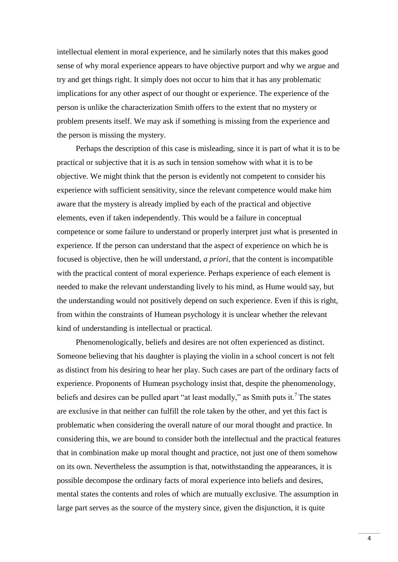intellectual element in moral experience, and he similarly notes that this makes good sense of why moral experience appears to have objective purport and why we argue and try and get things right. It simply does not occur to him that it has any problematic implications for any other aspect of our thought or experience. The experience of the person is unlike the characterization Smith offers to the extent that no mystery or problem presents itself. We may ask if something is missing from the experience and the person is missing the mystery.

Perhaps the description of this case is misleading, since it is part of what it is to be practical or subjective that it is as such in tension somehow with what it is to be objective. We might think that the person is evidently not competent to consider his experience with sufficient sensitivity, since the relevant competence would make him aware that the mystery is already implied by each of the practical and objective elements, even if taken independently. This would be a failure in conceptual competence or some failure to understand or properly interpret just what is presented in experience. If the person can understand that the aspect of experience on which he is focused is objective, then he will understand, *a priori*, that the content is incompatible with the practical content of moral experience. Perhaps experience of each element is needed to make the relevant understanding lively to his mind, as Hume would say, but the understanding would not positively depend on such experience. Even if this is right, from within the constraints of Humean psychology it is unclear whether the relevant kind of understanding is intellectual or practical.

Phenomenologically, beliefs and desires are not often experienced as distinct. Someone believing that his daughter is playing the violin in a school concert is not felt as distinct from his desiring to hear her play. Such cases are part of the ordinary facts of experience. Proponents of Humean psychology insist that, despite the phenomenology, beliefs and desires can be pulled apart "at least modally," as Smith puts it.<sup>7</sup> The states are exclusive in that neither can fulfill the role taken by the other, and yet this fact is problematic when considering the overall nature of our moral thought and practice. In considering this, we are bound to consider both the intellectual and the practical features that in combination make up moral thought and practice, not just one of them somehow on its own. Nevertheless the assumption is that, notwithstanding the appearances, it is possible decompose the ordinary facts of moral experience into beliefs and desires, mental states the contents and roles of which are mutually exclusive. The assumption in large part serves as the source of the mystery since, given the disjunction, it is quite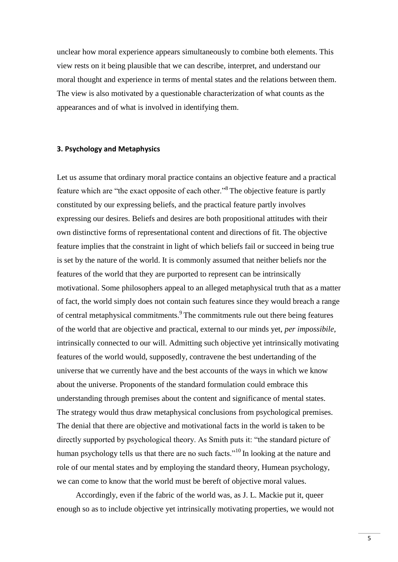unclear how moral experience appears simultaneously to combine both elements. This view rests on it being plausible that we can describe, interpret, and understand our moral thought and experience in terms of mental states and the relations between them. The view is also motivated by a questionable characterization of what counts as the appearances and of what is involved in identifying them.

### **3. Psychology and Metaphysics**

Let us assume that ordinary moral practice contains an objective feature and a practical feature which are "the exact opposite of each other."<sup>8</sup> The objective feature is partly constituted by our expressing beliefs, and the practical feature partly involves expressing our desires. Beliefs and desires are both propositional attitudes with their own distinctive forms of representational content and directions of fit. The objective feature implies that the constraint in light of which beliefs fail or succeed in being true is set by the nature of the world. It is commonly assumed that neither beliefs nor the features of the world that they are purported to represent can be intrinsically motivational. Some philosophers appeal to an alleged metaphysical truth that as a matter of fact, the world simply does not contain such features since they would breach a range of central metaphysical commitments.<sup>9</sup>The commitments rule out there being features of the world that are objective and practical, external to our minds yet, *per impossibile*, intrinsically connected to our will. Admitting such objective yet intrinsically motivating features of the world would, supposedly, contravene the best undertanding of the universe that we currently have and the best accounts of the ways in which we know about the universe. Proponents of the standard formulation could embrace this understanding through premises about the content and significance of mental states. The strategy would thus draw metaphysical conclusions from psychological premises. The denial that there are objective and motivational facts in the world is taken to be directly supported by psychological theory. As Smith puts it: "the standard picture of human psychology tells us that there are no such facts."<sup>10</sup> In looking at the nature and role of our mental states and by employing the standard theory, Humean psychology, we can come to know that the world must be bereft of objective moral values.

Accordingly, even if the fabric of the world was, as J. L. Mackie put it, queer enough so as to include objective yet intrinsically motivating properties, we would not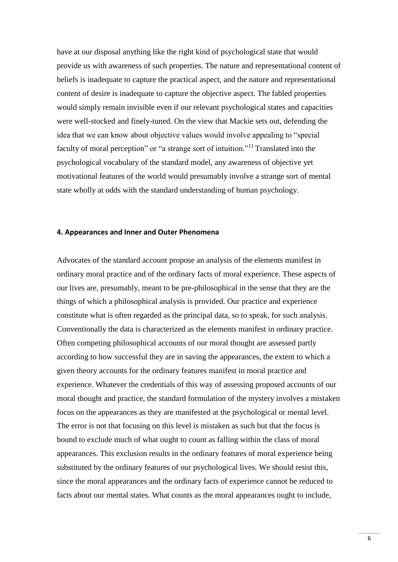have at our disposal anything like the right kind of psychological state that would provide us with awareness of such properties. The nature and representational content of beliefs is inadequate to capture the practical aspect, and the nature and representational content of desire is inadequate to capture the objective aspect. The fabled properties would simply remain invisible even if our relevant psychological states and capacities were well-stocked and finely-tuned. On the view that Mackie sets out, defending the idea that we can know about objective values would involve appealing to "special faculty of moral perception" or "a strange sort of intuition."<sup>11</sup> Translated into the psychological vocabulary of the standard model, any awareness of objective yet motivational features of the world would presumably involve a strange sort of mental state wholly at odds with the standard understanding of human psychology.

### **4. Appearances and Inner and Outer Phenomena**

Advocates of the standard account propose an analysis of the elements manifest in ordinary moral practice and of the ordinary facts of moral experience. These aspects of our lives are, presumably, meant to be pre-philosophical in the sense that they are the things of which a philosophical analysis is provided. Our practice and experience constitute what is often regarded as the principal data, so to speak, for such analysis. Conventionally the data is characterized as the elements manifest in ordinary practice. Often competing philosophical accounts of our moral thought are assessed partly according to how successful they are in saving the appearances, the extent to which a given theory accounts for the ordinary features manifest in moral practice and experience. Whatever the credentials of this way of assessing proposed accounts of our moral thought and practice, the standard formulation of the mystery involves a mistaken focus on the appearances as they are manifested at the psychological or mental level. The error is not that focusing on this level is mistaken as such but that the focus is bound to exclude much of what ought to count as falling within the class of moral appearances. This exclusion results in the ordinary features of moral experience being substituted by the ordinary features of our psychological lives. We should resist this, since the moral appearances and the ordinary facts of experience cannot be reduced to facts about our mental states. What counts as the moral appearances ought to include,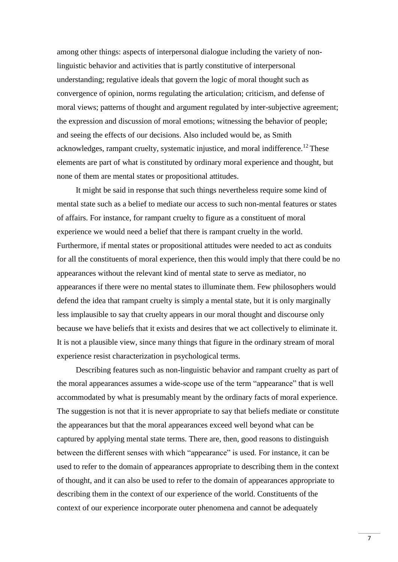among other things: aspects of interpersonal dialogue including the variety of nonlinguistic behavior and activities that is partly constitutive of interpersonal understanding; regulative ideals that govern the logic of moral thought such as convergence of opinion, norms regulating the articulation; criticism, and defense of moral views; patterns of thought and argument regulated by inter-subjective agreement; the expression and discussion of moral emotions; witnessing the behavior of people; and seeing the effects of our decisions. Also included would be, as Smith acknowledges, rampant cruelty, systematic injustice, and moral indifference.<sup>12</sup> These elements are part of what is constituted by ordinary moral experience and thought, but none of them are mental states or propositional attitudes.

It might be said in response that such things nevertheless require some kind of mental state such as a belief to mediate our access to such non-mental features or states of affairs. For instance, for rampant cruelty to figure as a constituent of moral experience we would need a belief that there is rampant cruelty in the world. Furthermore, if mental states or propositional attitudes were needed to act as conduits for all the constituents of moral experience, then this would imply that there could be no appearances without the relevant kind of mental state to serve as mediator, no appearances if there were no mental states to illuminate them. Few philosophers would defend the idea that rampant cruelty is simply a mental state, but it is only marginally less implausible to say that cruelty appears in our moral thought and discourse only because we have beliefs that it exists and desires that we act collectively to eliminate it. It is not a plausible view, since many things that figure in the ordinary stream of moral experience resist characterization in psychological terms.

Describing features such as non-linguistic behavior and rampant cruelty as part of the moral appearances assumes a wide-scope use of the term "appearance" that is well accommodated by what is presumably meant by the ordinary facts of moral experience. The suggestion is not that it is never appropriate to say that beliefs mediate or constitute the appearances but that the moral appearances exceed well beyond what can be captured by applying mental state terms. There are, then, good reasons to distinguish between the different senses with which "appearance" is used. For instance, it can be used to refer to the domain of appearances appropriate to describing them in the context of thought, and it can also be used to refer to the domain of appearances appropriate to describing them in the context of our experience of the world. Constituents of the context of our experience incorporate outer phenomena and cannot be adequately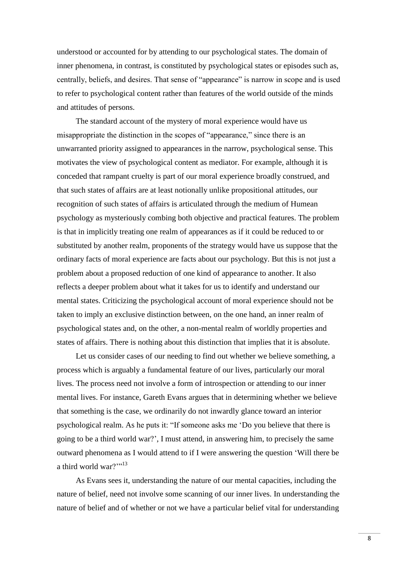understood or accounted for by attending to our psychological states. The domain of inner phenomena, in contrast, is constituted by psychological states or episodes such as, centrally, beliefs, and desires. That sense of "appearance" is narrow in scope and is used to refer to psychological content rather than features of the world outside of the minds and attitudes of persons.

The standard account of the mystery of moral experience would have us misappropriate the distinction in the scopes of "appearance," since there is an unwarranted priority assigned to appearances in the narrow, psychological sense. This motivates the view of psychological content as mediator. For example, although it is conceded that rampant cruelty is part of our moral experience broadly construed, and that such states of affairs are at least notionally unlike propositional attitudes, our recognition of such states of affairs is articulated through the medium of Humean psychology as mysteriously combing both objective and practical features. The problem is that in implicitly treating one realm of appearances as if it could be reduced to or substituted by another realm, proponents of the strategy would have us suppose that the ordinary facts of moral experience are facts about our psychology. But this is not just a problem about a proposed reduction of one kind of appearance to another. It also reflects a deeper problem about what it takes for us to identify and understand our mental states. Criticizing the psychological account of moral experience should not be taken to imply an exclusive distinction between, on the one hand, an inner realm of psychological states and, on the other, a non-mental realm of worldly properties and states of affairs. There is nothing about this distinction that implies that it is absolute.

Let us consider cases of our needing to find out whether we believe something, a process which is arguably a fundamental feature of our lives, particularly our moral lives. The process need not involve a form of introspection or attending to our inner mental lives. For instance, Gareth Evans argues that in determining whether we believe that something is the case, we ordinarily do not inwardly glance toward an interior psychological realm. As he puts it: "If someone asks me 'Do you believe that there is going to be a third world war?', I must attend, in answering him, to precisely the same outward phenomena as I would attend to if I were answering the question 'Will there be a third world war?"<sup>13</sup>

As Evans sees it, understanding the nature of our mental capacities, including the nature of belief, need not involve some scanning of our inner lives. In understanding the nature of belief and of whether or not we have a particular belief vital for understanding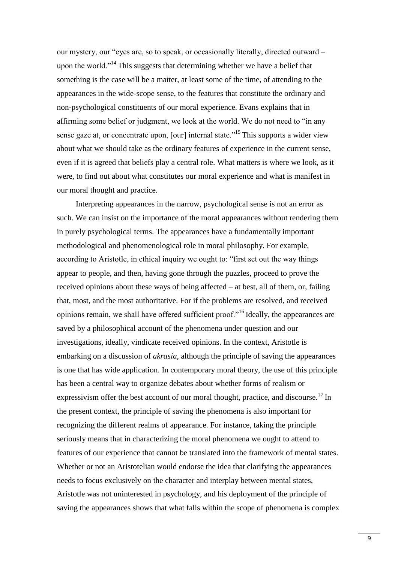our mystery, our "eyes are, so to speak, or occasionally literally, directed outward – upon the world."<sup>14</sup> This suggests that determining whether we have a belief that something is the case will be a matter, at least some of the time, of attending to the appearances in the wide-scope sense, to the features that constitute the ordinary and non-psychological constituents of our moral experience. Evans explains that in affirming some belief or judgment, we look at the world. We do not need to "in any sense gaze at, or concentrate upon, [our] internal state."<sup>15</sup> This supports a wider view about what we should take as the ordinary features of experience in the current sense, even if it is agreed that beliefs play a central role. What matters is where we look, as it were, to find out about what constitutes our moral experience and what is manifest in our moral thought and practice.

Interpreting appearances in the narrow, psychological sense is not an error as such. We can insist on the importance of the moral appearances without rendering them in purely psychological terms. The appearances have a fundamentally important methodological and phenomenological role in moral philosophy. For example, according to Aristotle, in ethical inquiry we ought to: "first set out the way things appear to people, and then, having gone through the puzzles, proceed to prove the received opinions about these ways of being affected – at best, all of them, or, failing that, most, and the most authoritative. For if the problems are resolved, and received opinions remain, we shall have offered sufficient proof."<sup>16</sup> Ideally, the appearances are saved by a philosophical account of the phenomena under question and our investigations, ideally, vindicate received opinions. In the context, Aristotle is embarking on a discussion of *akrasia*, although the principle of saving the appearances is one that has wide application. In contemporary moral theory, the use of this principle has been a central way to organize debates about whether forms of realism or expressivism offer the best account of our moral thought, practice, and discourse.<sup>17</sup> In the present context, the principle of saving the phenomena is also important for recognizing the different realms of appearance. For instance, taking the principle seriously means that in characterizing the moral phenomena we ought to attend to features of our experience that cannot be translated into the framework of mental states. Whether or not an Aristotelian would endorse the idea that clarifying the appearances needs to focus exclusively on the character and interplay between mental states, Aristotle was not uninterested in psychology, and his deployment of the principle of saving the appearances shows that what falls within the scope of phenomena is complex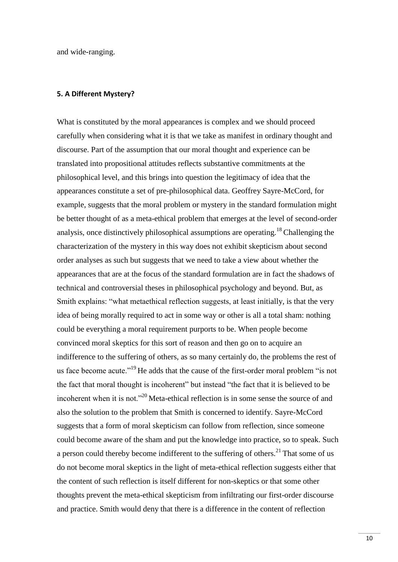and wide-ranging.

### **5. A Different Mystery?**

What is constituted by the moral appearances is complex and we should proceed carefully when considering what it is that we take as manifest in ordinary thought and discourse. Part of the assumption that our moral thought and experience can be translated into propositional attitudes reflects substantive commitments at the philosophical level, and this brings into question the legitimacy of idea that the appearances constitute a set of pre-philosophical data. Geoffrey Sayre-McCord, for example, suggests that the moral problem or mystery in the standard formulation might be better thought of as a meta-ethical problem that emerges at the level of second-order analysis, once distinctively philosophical assumptions are operating.<sup>18</sup> Challenging the characterization of the mystery in this way does not exhibit skepticism about second order analyses as such but suggests that we need to take a view about whether the appearances that are at the focus of the standard formulation are in fact the shadows of technical and controversial theses in philosophical psychology and beyond. But, as Smith explains: "what metaethical reflection suggests, at least initially, is that the very idea of being morally required to act in some way or other is all a total sham: nothing could be everything a moral requirement purports to be. When people become convinced moral skeptics for this sort of reason and then go on to acquire an indifference to the suffering of others, as so many certainly do, the problems the rest of us face become acute."<sup>19</sup> He adds that the cause of the first-order moral problem "is not the fact that moral thought is incoherent" but instead "the fact that it is believed to be incoherent when it is not."<sup>20</sup> Meta-ethical reflection is in some sense the source of and also the solution to the problem that Smith is concerned to identify. Sayre-McCord suggests that a form of moral skepticism can follow from reflection, since someone could become aware of the sham and put the knowledge into practice, so to speak. Such a person could thereby become indifferent to the suffering of others.<sup>21</sup> That some of us do not become moral skeptics in the light of meta-ethical reflection suggests either that the content of such reflection is itself different for non-skeptics or that some other thoughts prevent the meta-ethical skepticism from infiltrating our first-order discourse and practice. Smith would deny that there is a difference in the content of reflection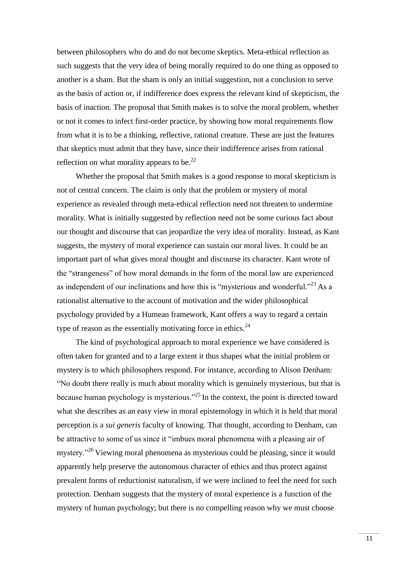between philosophers who do and do not become skeptics. Meta-ethical reflection as such suggests that the very idea of being morally required to do one thing as opposed to another is a sham. But the sham is only an initial suggestion, not a conclusion to serve as the basis of action or, if indifference does express the relevant kind of skepticism, the basis of inaction. The proposal that Smith makes is to solve the moral problem, whether or not it comes to infect first-order practice, by showing how moral requirements flow from what it is to be a thinking, reflective, rational creature. These are just the features that skeptics must admit that they have, since their indifference arises from rational reflection on what morality appears to be.<sup>22</sup>

Whether the proposal that Smith makes is a good response to moral skepticism is not of central concern. The claim is only that the problem or mystery of moral experience as revealed through meta-ethical reflection need not threaten to undermine morality. What is initially suggested by reflection need not be some curious fact about our thought and discourse that can jeopardize the very idea of morality. Instead, as Kant suggests, the mystery of moral experience can sustain our moral lives. It could be an important part of what gives moral thought and discourse its character. Kant wrote of the "strangeness" of how moral demands in the form of the moral law are experienced as independent of our inclinations and how this is "mysterious and wonderful."<sup>23</sup> As a rationalist alternative to the account of motivation and the wider philosophical psychology provided by a Humean framework, Kant offers a way to regard a certain type of reason as the essentially motivating force in ethics. $^{24}$ 

The kind of psychological approach to moral experience we have considered is often taken for granted and to a large extent it thus shapes what the initial problem or mystery is to which philosophers respond. For instance, according to Alison Denham: "No doubt there really is much about morality which is genuinely mysterious, but that is because human psychology is mysterious."<sup>25</sup> In the context, the point is directed toward what she describes as an easy view in moral epistemology in which it is held that moral perception is a *sui generis* faculty of knowing. That thought, according to Denham, can be attractive to some of us since it "imbues moral phenomena with a pleasing air of mystery."<sup>26</sup> Viewing moral phenomena as mysterious could be pleasing, since it would apparently help preserve the autonomous character of ethics and thus protect against prevalent forms of reductionist naturalism, if we were inclined to feel the need for such protection. Denham suggests that the mystery of moral experience is a function of the mystery of human psychology; but there is no compelling reason why we must choose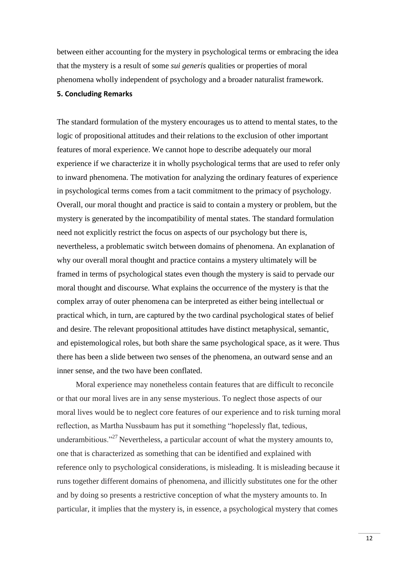between either accounting for the mystery in psychological terms or embracing the idea that the mystery is a result of some *sui generis* qualities or properties of moral phenomena wholly independent of psychology and a broader naturalist framework.

## **5. Concluding Remarks**

The standard formulation of the mystery encourages us to attend to mental states, to the logic of propositional attitudes and their relations to the exclusion of other important features of moral experience. We cannot hope to describe adequately our moral experience if we characterize it in wholly psychological terms that are used to refer only to inward phenomena. The motivation for analyzing the ordinary features of experience in psychological terms comes from a tacit commitment to the primacy of psychology. Overall, our moral thought and practice is said to contain a mystery or problem, but the mystery is generated by the incompatibility of mental states. The standard formulation need not explicitly restrict the focus on aspects of our psychology but there is, nevertheless, a problematic switch between domains of phenomena. An explanation of why our overall moral thought and practice contains a mystery ultimately will be framed in terms of psychological states even though the mystery is said to pervade our moral thought and discourse. What explains the occurrence of the mystery is that the complex array of outer phenomena can be interpreted as either being intellectual or practical which, in turn, are captured by the two cardinal psychological states of belief and desire. The relevant propositional attitudes have distinct metaphysical, semantic, and epistemological roles, but both share the same psychological space, as it were. Thus there has been a slide between two senses of the phenomena, an outward sense and an inner sense, and the two have been conflated.

Moral experience may nonetheless contain features that are difficult to reconcile or that our moral lives are in any sense mysterious. To neglect those aspects of our moral lives would be to neglect core features of our experience and to risk turning moral reflection, as Martha Nussbaum has put it something "hopelessly flat, tedious, underambitious."<sup>27</sup> Nevertheless, a particular account of what the mystery amounts to, one that is characterized as something that can be identified and explained with reference only to psychological considerations, is misleading. It is misleading because it runs together different domains of phenomena, and illicitly substitutes one for the other and by doing so presents a restrictive conception of what the mystery amounts to. In particular, it implies that the mystery is, in essence, a psychological mystery that comes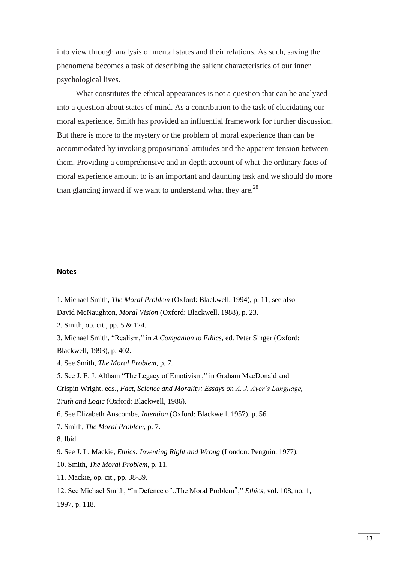into view through analysis of mental states and their relations. As such, saving the phenomena becomes a task of describing the salient characteristics of our inner psychological lives.

What constitutes the ethical appearances is not a question that can be analyzed into a question about states of mind. As a contribution to the task of elucidating our moral experience, Smith has provided an influential framework for further discussion. But there is more to the mystery or the problem of moral experience than can be accommodated by invoking propositional attitudes and the apparent tension between them. Providing a comprehensive and in-depth account of what the ordinary facts of moral experience amount to is an important and daunting task and we should do more than glancing inward if we want to understand what they are.<sup>28</sup>

### **Notes**

2. Smith, op. cit., pp. 5 & 124.

3. Michael Smith, "Realism," in *A Companion to Ethics*, ed. Peter Singer (Oxford: Blackwell, 1993), p. 402.

4. See Smith, *The Moral Problem*, p. 7.

5. See J. E. J. Altham "The Legacy of Emotivism," in Graham MacDonald and Crispin Wright, eds., *Fact, Science and Morality: Essays on A. J. Ayer's Language, Truth and Logic* (Oxford: Blackwell, 1986).

6. See Elizabeth Anscombe, *Intention* (Oxford: Blackwell, 1957), p. 56.

- 7. Smith, *The Moral Problem*, p. 7.
- 8. Ibid.

9. See J. L. Mackie, *Ethics: Inventing Right and Wrong* (London: Penguin, 1977).

- 10. Smith, *The Moral Problem*, p. 11.
- 11. Mackie, op. cit., pp. 38-39.

12. See Michael Smith, "In Defence of "The Moral Problem"," *Ethics*, vol. 108, no. 1, 1997, p. 118.

<sup>1.</sup> Michael Smith, *The Moral Problem* (Oxford: Blackwell, 1994), p. 11; see also David McNaughton, *Moral Vision* (Oxford: Blackwell, 1988), p. 23.